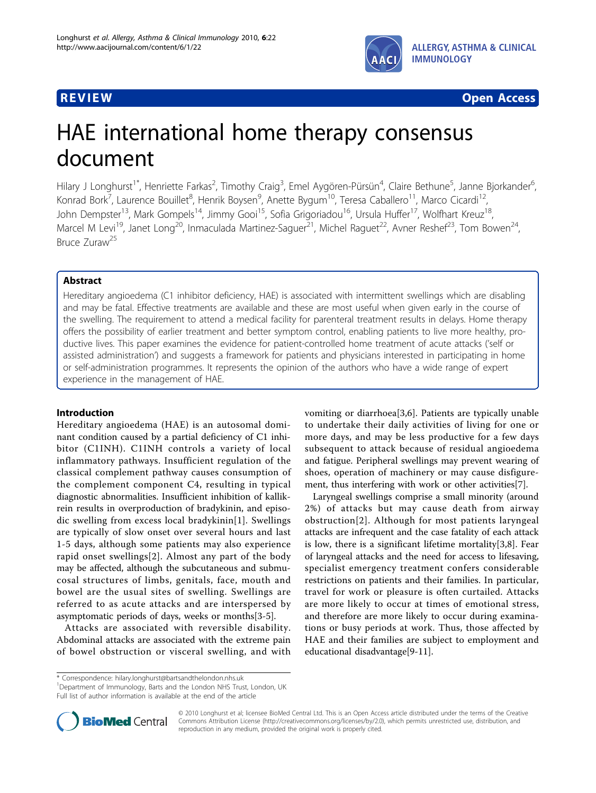

**REVIEW CONSTRUCTION CONSTRUCTION CONSTRUCTS** 

# HAE international home therapy consensus document

Hilary J Longhurst<sup>1\*</sup>, Henriette Farkas<sup>2</sup>, Timothy Craig<sup>3</sup>, Emel Aygören-Pürsün<sup>4</sup>, Claire Bethune<sup>5</sup>, Janne Bjorkander<sup>6</sup> , Konrad Bork<sup>7</sup>, Laurence Bouillet<sup>8</sup>, Henrik Boysen<sup>9</sup>, Anette Bygum<sup>10</sup>, Teresa Caballero<sup>11</sup>, Marco Cicardi<sup>12</sup>, John Dempster<sup>13</sup>, Mark Gompels<sup>14</sup>, Jimmy Gooi<sup>15</sup>, Sofia Grigoriadou<sup>16</sup>, Ursula Huffer<sup>17</sup>, Wolfhart Kreuz<sup>18</sup>, Marcel M Levi<sup>19</sup>, Janet Long<sup>20</sup>, Inmaculada Martinez-Saguer<sup>21</sup>, Michel Raguet<sup>22</sup>, Avner Reshef<sup>23</sup>, Tom Bowen<sup>24</sup>, Bruce Zuraw<sup>25</sup>

# Abstract

Hereditary angioedema (C1 inhibitor deficiency, HAE) is associated with intermittent swellings which are disabling and may be fatal. Effective treatments are available and these are most useful when given early in the course of the swelling. The requirement to attend a medical facility for parenteral treatment results in delays. Home therapy offers the possibility of earlier treatment and better symptom control, enabling patients to live more healthy, productive lives. This paper examines the evidence for patient-controlled home treatment of acute attacks ('self or assisted administration') and suggests a framework for patients and physicians interested in participating in home or self-administration programmes. It represents the opinion of the authors who have a wide range of expert experience in the management of HAE.

# Introduction

Hereditary angioedema (HAE) is an autosomal dominant condition caused by a partial deficiency of C1 inhibitor (C1INH). C1INH controls a variety of local inflammatory pathways. Insufficient regulation of the classical complement pathway causes consumption of the complement component C4, resulting in typical diagnostic abnormalities. Insufficient inhibition of kallikrein results in overproduction of bradykinin, and episodic swelling from excess local bradykinin[[1](#page-5-0)]. Swellings are typically of slow onset over several hours and last 1-5 days, although some patients may also experience rapid onset swellings[[2\]](#page-5-0). Almost any part of the body may be affected, although the subcutaneous and submucosal structures of limbs, genitals, face, mouth and bowel are the usual sites of swelling. Swellings are referred to as acute attacks and are interspersed by asymptomatic periods of days, weeks or months[\[3](#page-5-0)-[5\]](#page-5-0).

Attacks are associated with reversible disability. Abdominal attacks are associated with the extreme pain of bowel obstruction or visceral swelling, and with vomiting or diarrhoea[[3,6](#page-5-0)]. Patients are typically unable to undertake their daily activities of living for one or more days, and may be less productive for a few days subsequent to attack because of residual angioedema and fatigue. Peripheral swellings may prevent wearing of shoes, operation of machinery or may cause disfigurement, thus interfering with work or other activities[[7\]](#page-5-0).

Laryngeal swellings comprise a small minority (around 2%) of attacks but may cause death from airway obstruction[[2](#page-5-0)]. Although for most patients laryngeal attacks are infrequent and the case fatality of each attack is low, there is a significant lifetime mortality[[3,8\]](#page-5-0). Fear of laryngeal attacks and the need for access to lifesaving, specialist emergency treatment confers considerable restrictions on patients and their families. In particular, travel for work or pleasure is often curtailed. Attacks are more likely to occur at times of emotional stress, and therefore are more likely to occur during examinations or busy periods at work. Thus, those affected by HAE and their families are subject to employment and educational disadvantage[[9-11\]](#page-6-0).

Full list of author information is available at the end of the article



© 2010 Longhurst et al; licensee BioMed Central Ltd. This is an Open Access article distributed under the terms of the Creative Commons Attribution License [\(http://creativecommons.org/licenses/by/2.0](http://creativecommons.org/licenses/by/2.0)), which permits unrestricted use, distribution, and reproduction in any medium, provided the original work is properly cited.

<sup>\*</sup> Correspondence: [hilary.longhurst@bartsandthelondon.nhs.uk](mailto:hilary.longhurst@bartsandthelondon.nhs.uk)

<sup>&</sup>lt;sup>1</sup>Department of Immunology, Barts and the London NHS Trust, London, UK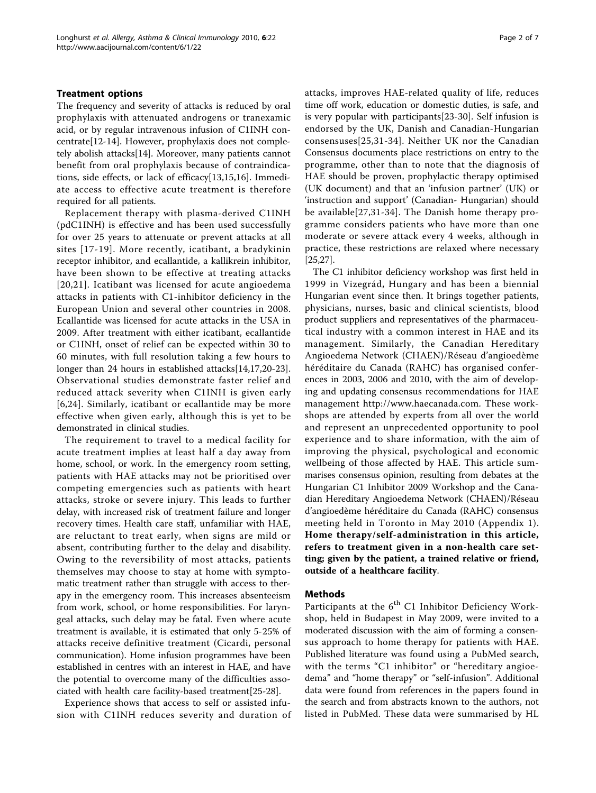#### Treatment options

The frequency and severity of attacks is reduced by oral prophylaxis with attenuated androgens or tranexamic acid, or by regular intravenous infusion of C1INH concentrate[\[12](#page-6-0)-[14](#page-6-0)]. However, prophylaxis does not completely abolish attacks[[14\]](#page-6-0). Moreover, many patients cannot benefit from oral prophylaxis because of contraindications, side effects, or lack of efficacy[[13,15,16\]](#page-6-0). Immediate access to effective acute treatment is therefore required for all patients.

Replacement therapy with plasma-derived C1INH (pdC1INH) is effective and has been used successfully for over 25 years to attenuate or prevent attacks at all sites [[17-19](#page-6-0)]. More recently, icatibant, a bradykinin receptor inhibitor, and ecallantide, a kallikrein inhibitor, have been shown to be effective at treating attacks [[20,21\]](#page-6-0). Icatibant was licensed for acute angioedema attacks in patients with C1-inhibitor deficiency in the European Union and several other countries in 2008. Ecallantide was licensed for acute attacks in the USA in 2009. After treatment with either icatibant, ecallantide or C1INH, onset of relief can be expected within 30 to 60 minutes, with full resolution taking a few hours to longer than 24 hours in established attacks[[14,17,20-23](#page-6-0)]. Observational studies demonstrate faster relief and reduced attack severity when C1INH is given early [[6](#page-5-0),[24\]](#page-6-0). Similarly, icatibant or ecallantide may be more effective when given early, although this is yet to be demonstrated in clinical studies.

The requirement to travel to a medical facility for acute treatment implies at least half a day away from home, school, or work. In the emergency room setting, patients with HAE attacks may not be prioritised over competing emergencies such as patients with heart attacks, stroke or severe injury. This leads to further delay, with increased risk of treatment failure and longer recovery times. Health care staff, unfamiliar with HAE, are reluctant to treat early, when signs are mild or absent, contributing further to the delay and disability. Owing to the reversibility of most attacks, patients themselves may choose to stay at home with symptomatic treatment rather than struggle with access to therapy in the emergency room. This increases absenteeism from work, school, or home responsibilities. For laryngeal attacks, such delay may be fatal. Even where acute treatment is available, it is estimated that only 5-25% of attacks receive definitive treatment (Cicardi, personal communication). Home infusion programmes have been established in centres with an interest in HAE, and have the potential to overcome many of the difficulties associated with health care facility-based treatment[[25](#page-6-0)-[28\]](#page-6-0).

Experience shows that access to self or assisted infusion with C1INH reduces severity and duration of attacks, improves HAE-related quality of life, reduces time off work, education or domestic duties, is safe, and is very popular with participants[\[23](#page-6-0)-[30\]](#page-6-0). Self infusion is endorsed by the UK, Danish and Canadian-Hungarian consensuses[[25](#page-6-0),[31](#page-6-0)-[34](#page-6-0)]. Neither UK nor the Canadian Consensus documents place restrictions on entry to the programme, other than to note that the diagnosis of HAE should be proven, prophylactic therapy optimised (UK document) and that an 'infusion partner' (UK) or 'instruction and support' (Canadian- Hungarian) should be available[[27](#page-6-0),[31-34\]](#page-6-0). The Danish home therapy programme considers patients who have more than one moderate or severe attack every 4 weeks, although in practice, these restrictions are relaxed where necessary [[25,27\]](#page-6-0).

The C1 inhibitor deficiency workshop was first held in 1999 in Vizegrád, Hungary and has been a biennial Hungarian event since then. It brings together patients, physicians, nurses, basic and clinical scientists, blood product suppliers and representatives of the pharmaceutical industry with a common interest in HAE and its management. Similarly, the Canadian Hereditary Angioedema Network (CHAEN)/Réseau d'angioedème héréditaire du Canada (RAHC) has organised conferences in 2003, 2006 and 2010, with the aim of developing and updating consensus recommendations for HAE management [http://www.haecanada.com.](http://www.haecanada.com) These workshops are attended by experts from all over the world and represent an unprecedented opportunity to pool experience and to share information, with the aim of improving the physical, psychological and economic wellbeing of those affected by HAE. This article summarises consensus opinion, resulting from debates at the Hungarian C1 Inhibitor 2009 Workshop and the Canadian Hereditary Angioedema Network (CHAEN)/Réseau d'angioedème héréditaire du Canada (RAHC) consensus meeting held in Toronto in May 2010 (Appendix 1). Home therapy/self-administration in this article, refers to treatment given in a non-health care setting; given by the patient, a trained relative or friend, outside of a healthcare facility.

# **Methods**

Participants at the  $6<sup>th</sup>$  C1 Inhibitor Deficiency Workshop, held in Budapest in May 2009, were invited to a moderated discussion with the aim of forming a consensus approach to home therapy for patients with HAE. Published literature was found using a PubMed search, with the terms "C1 inhibitor" or "hereditary angioedema" and "home therapy" or "self-infusion". Additional data were found from references in the papers found in the search and from abstracts known to the authors, not listed in PubMed. These data were summarised by HL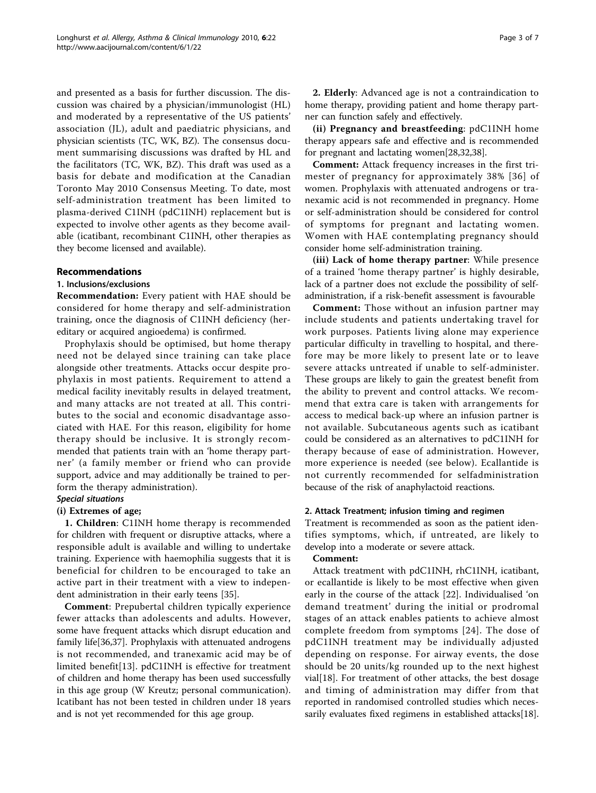and presented as a basis for further discussion. The discussion was chaired by a physician/immunologist (HL) and moderated by a representative of the US patients' association (JL), adult and paediatric physicians, and physician scientists (TC, WK, BZ). The consensus document summarising discussions was drafted by HL and the facilitators (TC, WK, BZ). This draft was used as a basis for debate and modification at the Canadian Toronto May 2010 Consensus Meeting. To date, most self-administration treatment has been limited to plasma-derived C1INH (pdC1INH) replacement but is expected to involve other agents as they become available (icatibant, recombinant C1INH, other therapies as they become licensed and available).

# Recommendations

# 1. Inclusions/exclusions

Recommendation: Every patient with HAE should be considered for home therapy and self-administration training, once the diagnosis of C1INH deficiency (hereditary or acquired angioedema) is confirmed.

Prophylaxis should be optimised, but home therapy need not be delayed since training can take place alongside other treatments. Attacks occur despite prophylaxis in most patients. Requirement to attend a medical facility inevitably results in delayed treatment, and many attacks are not treated at all. This contributes to the social and economic disadvantage associated with HAE. For this reason, eligibility for home therapy should be inclusive. It is strongly recommended that patients train with an 'home therapy partner' (a family member or friend who can provide support, advice and may additionally be trained to perform the therapy administration).

# Special situations

# (i) Extremes of age;

1. Children: C1INH home therapy is recommended for children with frequent or disruptive attacks, where a responsible adult is available and willing to undertake training. Experience with haemophilia suggests that it is beneficial for children to be encouraged to take an active part in their treatment with a view to independent administration in their early teens [\[35\]](#page-6-0).

Comment: Prepubertal children typically experience fewer attacks than adolescents and adults. However, some have frequent attacks which disrupt education and family life[\[36,37](#page-6-0)]. Prophylaxis with attenuated androgens is not recommended, and tranexamic acid may be of limited benefit[[13](#page-6-0)]. pdC1INH is effective for treatment of children and home therapy has been used successfully in this age group (W Kreutz; personal communication). Icatibant has not been tested in children under 18 years and is not yet recommended for this age group.

2. Elderly: Advanced age is not a contraindication to home therapy, providing patient and home therapy partner can function safely and effectively.

(ii) Pregnancy and breastfeeding: pdC1INH home therapy appears safe and effective and is recommended for pregnant and lactating women[[28,32,38\]](#page-6-0).

Comment: Attack frequency increases in the first trimester of pregnancy for approximately 38% [[36\]](#page-6-0) of women. Prophylaxis with attenuated androgens or tranexamic acid is not recommended in pregnancy. Home or self-administration should be considered for control of symptoms for pregnant and lactating women. Women with HAE contemplating pregnancy should consider home self-administration training.

(iii) Lack of home therapy partner: While presence of a trained 'home therapy partner' is highly desirable, lack of a partner does not exclude the possibility of selfadministration, if a risk-benefit assessment is favourable

Comment: Those without an infusion partner may include students and patients undertaking travel for work purposes. Patients living alone may experience particular difficulty in travelling to hospital, and therefore may be more likely to present late or to leave severe attacks untreated if unable to self-administer. These groups are likely to gain the greatest benefit from the ability to prevent and control attacks. We recommend that extra care is taken with arrangements for access to medical back-up where an infusion partner is not available. Subcutaneous agents such as icatibant could be considered as an alternatives to pdC1INH for therapy because of ease of administration. However, more experience is needed (see below). Ecallantide is not currently recommended for selfadministration because of the risk of anaphylactoid reactions.

#### 2. Attack Treatment; infusion timing and regimen

Treatment is recommended as soon as the patient identifies symptoms, which, if untreated, are likely to develop into a moderate or severe attack.

# Comment:

Attack treatment with pdC1INH, rhC1INH, icatibant, or ecallantide is likely to be most effective when given early in the course of the attack [[22\]](#page-6-0). Individualised 'on demand treatment' during the initial or prodromal stages of an attack enables patients to achieve almost complete freedom from symptoms [\[24\]](#page-6-0). The dose of pdC1INH treatment may be individually adjusted depending on response. For airway events, the dose should be 20 units/kg rounded up to the next highest vial[\[18](#page-6-0)]. For treatment of other attacks, the best dosage and timing of administration may differ from that reported in randomised controlled studies which necessarily evaluates fixed regimens in established attacks[[18](#page-6-0)].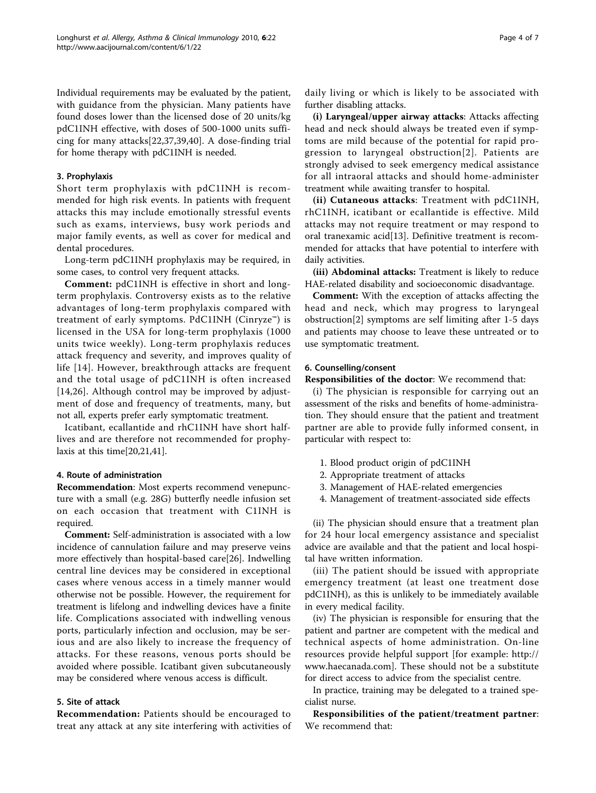Individual requirements may be evaluated by the patient, with guidance from the physician. Many patients have found doses lower than the licensed dose of 20 units/kg pdC1INH effective, with doses of 500-1000 units sufficing for many attacks[[22,37,39](#page-6-0),[40\]](#page-6-0). A dose-finding trial for home therapy with pdC1INH is needed.

#### 3. Prophylaxis

Short term prophylaxis with pdC1INH is recommended for high risk events. In patients with frequent attacks this may include emotionally stressful events such as exams, interviews, busy work periods and major family events, as well as cover for medical and dental procedures.

Long-term pdC1INH prophylaxis may be required, in some cases, to control very frequent attacks.

Comment: pdC1INH is effective in short and longterm prophylaxis. Controversy exists as to the relative advantages of long-term prophylaxis compared with treatment of early symptoms. PdC1INH (Cinryze™) is licensed in the USA for long-term prophylaxis (1000 units twice weekly). Long-term prophylaxis reduces attack frequency and severity, and improves quality of life [[14\]](#page-6-0). However, breakthrough attacks are frequent and the total usage of pdC1INH is often increased [[14](#page-6-0),[26\]](#page-6-0). Although control may be improved by adjustment of dose and frequency of treatments, many, but not all, experts prefer early symptomatic treatment.

Icatibant, ecallantide and rhC1INH have short halflives and are therefore not recommended for prophylaxis at this time[\[20,21,41\]](#page-6-0).

#### 4. Route of administration

Recommendation: Most experts recommend venepuncture with a small (e.g. 28G) butterfly needle infusion set on each occasion that treatment with C1INH is required.

Comment: Self-administration is associated with a low incidence of cannulation failure and may preserve veins more effectively than hospital-based care[\[26\]](#page-6-0). Indwelling central line devices may be considered in exceptional cases where venous access in a timely manner would otherwise not be possible. However, the requirement for treatment is lifelong and indwelling devices have a finite life. Complications associated with indwelling venous ports, particularly infection and occlusion, may be serious and are also likely to increase the frequency of attacks. For these reasons, venous ports should be avoided where possible. Icatibant given subcutaneously may be considered where venous access is difficult.

#### 5. Site of attack

Recommendation: Patients should be encouraged to treat any attack at any site interfering with activities of

(i) Laryngeal/upper airway attacks: Attacks affecting head and neck should always be treated even if symptoms are mild because of the potential for rapid progression to laryngeal obstruction[[2\]](#page-5-0). Patients are strongly advised to seek emergency medical assistance for all intraoral attacks and should home-administer treatment while awaiting transfer to hospital.

(ii) Cutaneous attacks: Treatment with pdC1INH, rhC1INH, icatibant or ecallantide is effective. Mild attacks may not require treatment or may respond to oral tranexamic acid[\[13](#page-6-0)]. Definitive treatment is recommended for attacks that have potential to interfere with daily activities.

(iii) Abdominal attacks: Treatment is likely to reduce HAE-related disability and socioeconomic disadvantage.

Comment: With the exception of attacks affecting the head and neck, which may progress to laryngeal obstruction[\[2](#page-5-0)] symptoms are self limiting after 1-5 days and patients may choose to leave these untreated or to use symptomatic treatment.

#### 6. Counselling/consent

Responsibilities of the doctor: We recommend that:

(i) The physician is responsible for carrying out an assessment of the risks and benefits of home-administration. They should ensure that the patient and treatment partner are able to provide fully informed consent, in particular with respect to:

- 1. Blood product origin of pdC1INH
- 2. Appropriate treatment of attacks
- 3. Management of HAE-related emergencies
- 4. Management of treatment-associated side effects

(ii) The physician should ensure that a treatment plan for 24 hour local emergency assistance and specialist advice are available and that the patient and local hospital have written information.

(iii) The patient should be issued with appropriate emergency treatment (at least one treatment dose pdC1INH), as this is unlikely to be immediately available in every medical facility.

(iv) The physician is responsible for ensuring that the patient and partner are competent with the medical and technical aspects of home administration. On-line resources provide helpful support [for example: [http://](http://www.haecanada.com) [www.haecanada.com](http://www.haecanada.com)]. These should not be a substitute for direct access to advice from the specialist centre.

In practice, training may be delegated to a trained specialist nurse.

Responsibilities of the patient/treatment partner: We recommend that: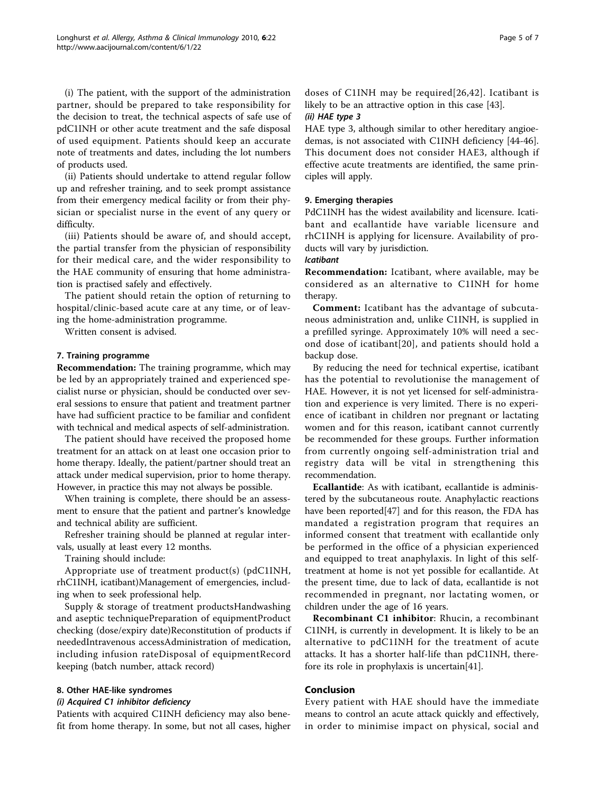(i) The patient, with the support of the administration partner, should be prepared to take responsibility for the decision to treat, the technical aspects of safe use of pdC1INH or other acute treatment and the safe disposal of used equipment. Patients should keep an accurate note of treatments and dates, including the lot numbers of products used.

(ii) Patients should undertake to attend regular follow up and refresher training, and to seek prompt assistance from their emergency medical facility or from their physician or specialist nurse in the event of any query or difficulty.

(iii) Patients should be aware of, and should accept, the partial transfer from the physician of responsibility for their medical care, and the wider responsibility to the HAE community of ensuring that home administration is practised safely and effectively.

The patient should retain the option of returning to hospital/clinic-based acute care at any time, or of leaving the home-administration programme.

Written consent is advised.

# 7. Training programme

Recommendation: The training programme, which may be led by an appropriately trained and experienced specialist nurse or physician, should be conducted over several sessions to ensure that patient and treatment partner have had sufficient practice to be familiar and confident with technical and medical aspects of self-administration.

The patient should have received the proposed home treatment for an attack on at least one occasion prior to home therapy. Ideally, the patient/partner should treat an attack under medical supervision, prior to home therapy. However, in practice this may not always be possible.

When training is complete, there should be an assessment to ensure that the patient and partner's knowledge and technical ability are sufficient.

Refresher training should be planned at regular intervals, usually at least every 12 months.

Training should include:

Appropriate use of treatment product(s) (pdC1INH, rhC1INH, icatibant)Management of emergencies, including when to seek professional help.

Supply & storage of treatment productsHandwashing and aseptic techniquePreparation of equipmentProduct checking (dose/expiry date)Reconstitution of products if neededIntravenous accessAdministration of medication, including infusion rateDisposal of equipmentRecord keeping (batch number, attack record)

#### 8. Other HAE-like syndromes

#### (i) Acquired C1 inhibitor deficiency

Patients with acquired C1INH deficiency may also benefit from home therapy. In some, but not all cases, higher doses of C1INH may be required[[26,42\]](#page-6-0). Icatibant is likely to be an attractive option in this case [\[43](#page-6-0)]. (ii) HAE type 3

HAE type 3, although similar to other hereditary angioedemas, is not associated with C1INH deficiency [[44-46](#page-6-0)]. This document does not consider HAE3, although if effective acute treatments are identified, the same principles will apply.

# 9. Emerging therapies

PdC1INH has the widest availability and licensure. Icatibant and ecallantide have variable licensure and rhC1INH is applying for licensure. Availability of products will vary by jurisdiction.

#### Icatibant

Recommendation: Icatibant, where available, may be considered as an alternative to C1INH for home therapy.

Comment: Icatibant has the advantage of subcutaneous administration and, unlike C1INH, is supplied in a prefilled syringe. Approximately 10% will need a second dose of icatibant[\[20\]](#page-6-0), and patients should hold a backup dose.

By reducing the need for technical expertise, icatibant has the potential to revolutionise the management of HAE. However, it is not yet licensed for self-administration and experience is very limited. There is no experience of icatibant in children nor pregnant or lactating women and for this reason, icatibant cannot currently be recommended for these groups. Further information from currently ongoing self-administration trial and registry data will be vital in strengthening this recommendation.

Ecallantide: As with icatibant, ecallantide is administered by the subcutaneous route. Anaphylactic reactions have been reported[[47\]](#page-6-0) and for this reason, the FDA has mandated a registration program that requires an informed consent that treatment with ecallantide only be performed in the office of a physician experienced and equipped to treat anaphylaxis. In light of this selftreatment at home is not yet possible for ecallantide. At the present time, due to lack of data, ecallantide is not recommended in pregnant, nor lactating women, or children under the age of 16 years.

Recombinant C1 inhibitor: Rhucin, a recombinant C1INH, is currently in development. It is likely to be an alternative to pdC1INH for the treatment of acute attacks. It has a shorter half-life than pdC1INH, therefore its role in prophylaxis is uncertain[[41\]](#page-6-0).

#### Conclusion

Every patient with HAE should have the immediate means to control an acute attack quickly and effectively, in order to minimise impact on physical, social and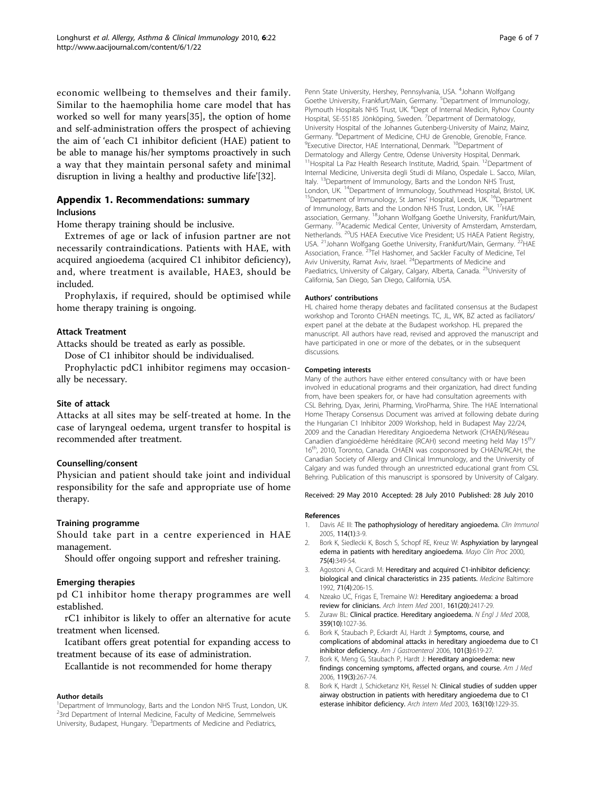<span id="page-5-0"></span>economic wellbeing to themselves and their family. Similar to the haemophilia home care model that has worked so well for many years[[35\]](#page-6-0), the option of home and self-administration offers the prospect of achieving the aim of 'each C1 inhibitor deficient (HAE) patient to be able to manage his/her symptoms proactively in such a way that they maintain personal safety and minimal disruption in living a healthy and productive life'[[32\]](#page-6-0).

# Appendix 1. Recommendations: summary

# Inclusions

Home therapy training should be inclusive.

Extremes of age or lack of infusion partner are not necessarily contraindications. Patients with HAE, with acquired angioedema (acquired C1 inhibitor deficiency), and, where treatment is available, HAE3, should be included.

Prophylaxis, if required, should be optimised while home therapy training is ongoing.

## Attack Treatment

Attacks should be treated as early as possible.

Dose of C1 inhibitor should be individualised.

Prophylactic pdC1 inhibitor regimens may occasionally be necessary.

#### Site of attack

Attacks at all sites may be self-treated at home. In the case of laryngeal oedema, urgent transfer to hospital is recommended after treatment.

#### Counselling/consent

Physician and patient should take joint and individual responsibility for the safe and appropriate use of home therapy.

#### Training programme

Should take part in a centre experienced in HAE management.

Should offer ongoing support and refresher training.

#### Emerging therapies

pd C1 inhibitor home therapy programmes are well established.

rC1 inhibitor is likely to offer an alternative for acute treatment when licensed.

Icatibant offers great potential for expanding access to treatment because of its ease of administration.

Ecallantide is not recommended for home therapy

#### Author details

<sup>1</sup>Department of Immunology, Barts and the London NHS Trust, London, UK <sup>2</sup>3rd Department of Internal Medicine, Faculty of Medicine, Semmelweis University, Budapest, Hungary. <sup>3</sup>Departments of Medicine and Pediatrics,

Penn State University, Hershey, Pennsylvania, USA. <sup>4</sup>Johann Wolfgang Goethe University, Frankfurt/Main, Germany. <sup>5</sup>Department of Immunology Plymouth Hospitals NHS Trust, UK. <sup>6</sup>Dept of Internal Medicin, Ryhov County Hospital, SE-55185 Jönköping, Sweden. <sup>7</sup>Department of Dermatology, University Hospital of the Johannes Gutenberg-University of Mainz, Mainz, Germany. <sup>8</sup>Department of Medicine, CHU de Grenoble, Grenoble, France.<br><sup>9</sup>Executive Director, HAE International, Denmark, <sup>10</sup>Denartment of <sup>9</sup> Executive Director, HAE International, Denmark. <sup>10</sup> Department of Dermatology and Allergy Centre, Odense University Hospital, Denmark. <sup>11</sup>Hospital La Paz Health Research Institute, Madrid, Spain. <sup>12</sup>Department of Internal Medicine, Universita degli Studi di Milano, Ospedale L. Sacco, Milan, Italy. <sup>13</sup>Department of Immunology, Barts and the London NHS Trust,<br>London, UK. <sup>14</sup>Department of Immunology, Southmead Hospital, Bristol, UK. <sup>15</sup>Department of Immunology, St James' Hospital, Leeds, UK. <sup>16</sup>Department of Immunology, Barts and the London NHS Trust, London, UK. <sup>17</sup>HAE association, Germany. <sup>18</sup>Johann Wolfgang Goethe University, Frankfurt/Main, Germany. <sup>19</sup>Academic Medical Center, University of Amsterdam, Amsterdam, Netherlands. 20US HAEA Executive Vice President; US HAEA Patient Registry, USA. <sup>21</sup>Johann Wolfgang Goethe University, Frankfurt/Main, Germany. <sup>22</sup>HAE Association, France.<sup>23</sup>Tel Hashomer, and Sackler Faculty of Medicine, Tel Aviv University, Ramat Aviv, Israel. <sup>24</sup> Departments of Medicine and Paediatrics, University of Calgary, Calgary, Alberta, Canada. <sup>25</sup>University of California, San Diego, San Diego, California, USA.

#### Authors' contributions

HL chaired home therapy debates and facilitated consensus at the Budapest workshop and Toronto CHAEN meetings. TC, JL, WK, BZ acted as faciliators/ expert panel at the debate at the Budapest workshop. HL prepared the manuscript. All authors have read, revised and approved the manuscript and have participated in one or more of the debates, or in the subsequent discussions.

#### Competing interests

Many of the authors have either entered consultancy with or have been involved in educational programs and their organization, had direct funding from, have been speakers for, or have had consultation agreements with CSL Behring, Dyax, Jerini, Pharming, ViroPharma, Shire. The HAE International Home Therapy Consensus Document was arrived at following debate during the Hungarian C1 Inhibitor 2009 Workshop, held in Budapest May 22/24, 2009 and the Canadian Hereditary Angioedema Network (CHAEN)/Réseau Canadien d'angioédème héréditaire (RCAH) second meeting held May 15<sup>th</sup>/ 16<sup>th</sup>, 2010, Toronto, Canada. CHAEN was cosponsored by CHAEN/RCAH, the Canadian Society of Allergy and Clinical Immunology, and the University of Calgary and was funded through an unrestricted educational grant from CSL Behring. Publication of this manuscript is sponsored by University of Calgary.

#### Received: 29 May 2010 Accepted: 28 July 2010 Published: 28 July 2010

#### References

- Davis AE III: [The pathophysiology of hereditary angioedema.](http://www.ncbi.nlm.nih.gov/pubmed/15596403?dopt=Abstract) Clin Immunol 2005, 114(1):3-9.
- 2. Bork K, Siedlecki K, Bosch S, Schopf RE, Kreuz W: [Asphyxiation by laryngeal](http://www.ncbi.nlm.nih.gov/pubmed/10761488?dopt=Abstract) [edema in patients with hereditary angioedema.](http://www.ncbi.nlm.nih.gov/pubmed/10761488?dopt=Abstract) Mayo Clin Proc 2000, 75(4):349-54.
- 3. Agostoni A, Cicardi M: [Hereditary and acquired C1-inhibitor deficiency:](http://www.ncbi.nlm.nih.gov/pubmed/1518394?dopt=Abstract) [biological and clinical characteristics in 235 patients.](http://www.ncbi.nlm.nih.gov/pubmed/1518394?dopt=Abstract) Medicine Baltimore 1992, 71(4):206-15.
- 4. Nzeako UC, Frigas E, Tremaine WJ: [Hereditary angioedema: a broad](http://www.ncbi.nlm.nih.gov/pubmed/11700154?dopt=Abstract) [review for clinicians.](http://www.ncbi.nlm.nih.gov/pubmed/11700154?dopt=Abstract) Arch Intern Med 2001, 161(20):2417-29.
- 5. Zuraw BL: [Clinical practice. Hereditary angioedema.](http://www.ncbi.nlm.nih.gov/pubmed/18768946?dopt=Abstract) N Engl J Med 2008, 359(10):1027-36.
- 6. Bork K, Staubach P, Eckardt AJ, Hardt J: [Symptoms, course, and](http://www.ncbi.nlm.nih.gov/pubmed/16464219?dopt=Abstract) [complications of abdominal attacks in hereditary angioedema due to C1](http://www.ncbi.nlm.nih.gov/pubmed/16464219?dopt=Abstract) [inhibitor deficiency.](http://www.ncbi.nlm.nih.gov/pubmed/16464219?dopt=Abstract) Am J Gastroenterol 2006, 101(3):619-27.
- 7. Bork K, Meng G, Staubach P, Hardt J: [Hereditary angioedema: new](http://www.ncbi.nlm.nih.gov/pubmed/16490473?dopt=Abstract) [findings concerning symptoms, affected organs, and course.](http://www.ncbi.nlm.nih.gov/pubmed/16490473?dopt=Abstract) Am J Med 2006, 119(3):267-74.
- 8. Bork K, Hardt J, Schicketanz KH, Ressel N: [Clinical studies of sudden upper](http://www.ncbi.nlm.nih.gov/pubmed/12767961?dopt=Abstract) [airway obstruction in patients with hereditary angioedema due to C1](http://www.ncbi.nlm.nih.gov/pubmed/12767961?dopt=Abstract) [esterase inhibitor deficiency.](http://www.ncbi.nlm.nih.gov/pubmed/12767961?dopt=Abstract) Arch Intern Med 2003, 163(10):1229-35.